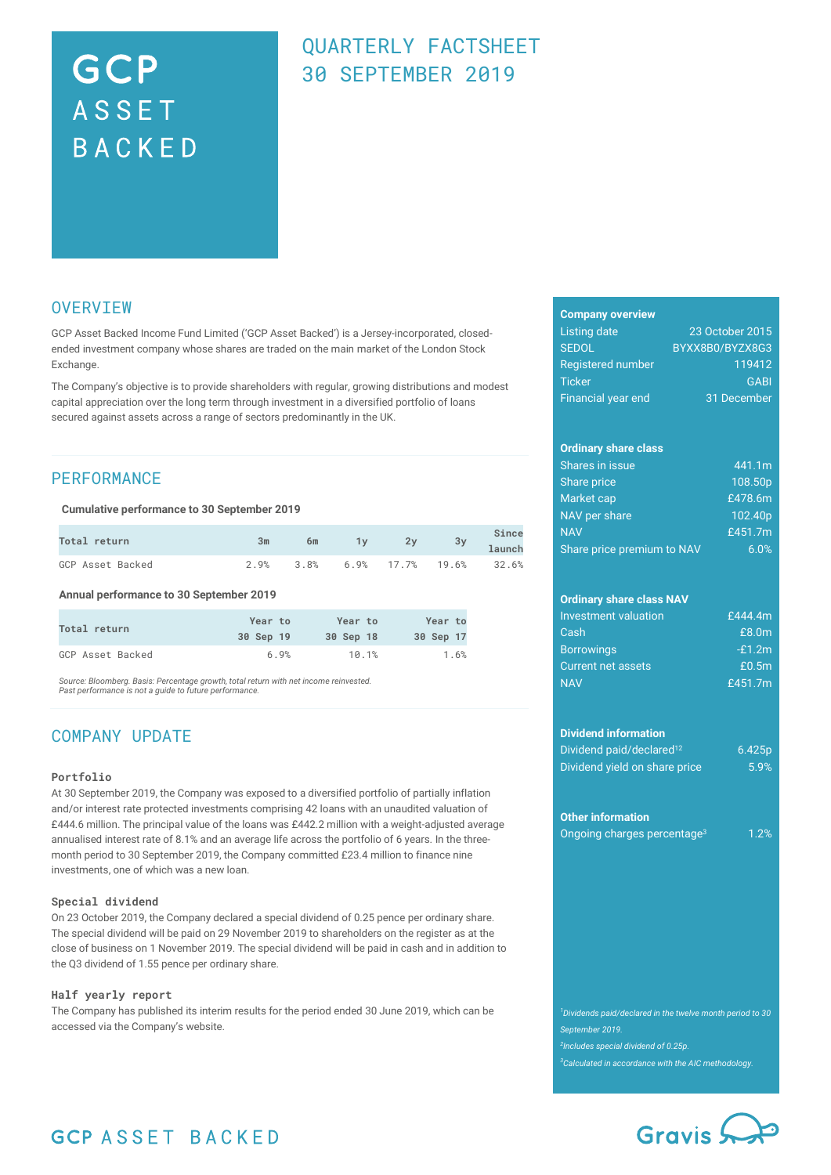# GCP **ASSET** BACKED

### QUARTERLY FACTSHEET 30 SEPTEMBER 2019

### **OVERVIEW**

GCP Asset Backed Income Fund Limited ('GCP Asset Backed') is a Jersey-incorporated, closedended investment company whose shares are traded on the main market of the London Stock Exchange.

The Company's objective is to provide shareholders with regular, growing distributions and modest capital appreciation over the long term through investment in a diversified portfolio of loans secured against assets across a range of sectors predominantly in the UK.

### **PERFORMANCE**

**Cumulative performance to 30 September 2019**

| <b>Total return</b> | 3m | 6m                               | 1y 2y 3y 1aunch | Since |
|---------------------|----|----------------------------------|-----------------|-------|
| GCP Asset Backed    |    | 2.9% 3.8% 6.9% 17.7% 19.6% 32.6% |                 |       |

**Annual performance to 30 September 2019**

| Total return     | Year to   | Year to   | Year to   |
|------------------|-----------|-----------|-----------|
|                  | 30 Sep 19 | 30 Sep 18 | 30 Sep 17 |
| GCP Asset Backed | 6.9%      | 10.1%     | 1.6%      |

*Source: Bloomberg. Basis: Percentage growth, total return with net income reinvested. Past performance is not a guide to future performance.*

### COMPANY UPDATE

#### **Portfolio**

At 30 September 2019, the Company was exposed to a diversified portfolio of partially inflation and/or interest rate protected investments comprising 42 loans with an unaudited valuation of £444.6 million. The principal value of the loans was £442.2 million with a weight-adjusted average annualised interest rate of 8.1% and an average life across the portfolio of 6 years. In the threemonth period to 30 September 2019, the Company committed £23.4 million to finance nine investments, one of which was a new loan.

#### **Special dividend**

On 23 October 2019, the Company declared a special dividend of 0.25 pence per ordinary share. The special dividend will be paid on 29 November 2019 to shareholders on the register as at the close of business on 1 November 2019. The special dividend will be paid in cash and in addition to the Q3 dividend of 1.55 pence per ordinary share.

#### **Half yearly report**

The Company has published its interim results for the period ended 30 June 2019, which can be accessed via the Company's website.

#### **Company overview**

| Listing date              | 23 October 2015 |
|---------------------------|-----------------|
| <b>SEDOL</b>              | BYXX8B0/BYZX8G3 |
| <b>Registered number</b>  | 119412          |
| <b>Ticker</b>             | <b>GABI</b>     |
| <b>Financial year end</b> | 31 December     |

#### **Ordinary share class**

| Shares in issue            | 441.1m              |
|----------------------------|---------------------|
| <b>Share price</b>         | 108.50p             |
| Market cap                 | £478.6m             |
| NAV per share              | 102.40 <sub>p</sub> |
| <b>NAV</b>                 | £451.7m             |
| Share price premium to NAV | $.60\%$             |

### **Ordinary share class NAV**

| <b>Investment valuation</b> | £444.4m  |
|-----------------------------|----------|
| Cash                        | £8.0m    |
| <b>Borrowings</b>           | $-E1.2m$ |
| <b>Current net assets</b>   | £0.5m    |
| <b>NAV</b>                  | £451.7m  |

#### **Dividend information**

| Dividend paid/declared <sup>12</sup> | 6.425 <sub>p</sub> |
|--------------------------------------|--------------------|
| Dividend yield on share price        | 5.9%               |

#### **Other information**

Ongoing charges percentage<sup>3</sup> 1.2%

*September 2019. 2 Includes special dividend of 0.25p. <sup>3</sup>Calculated in accordance with the AIC methodology.*



### **GCP ASSET BACKED**